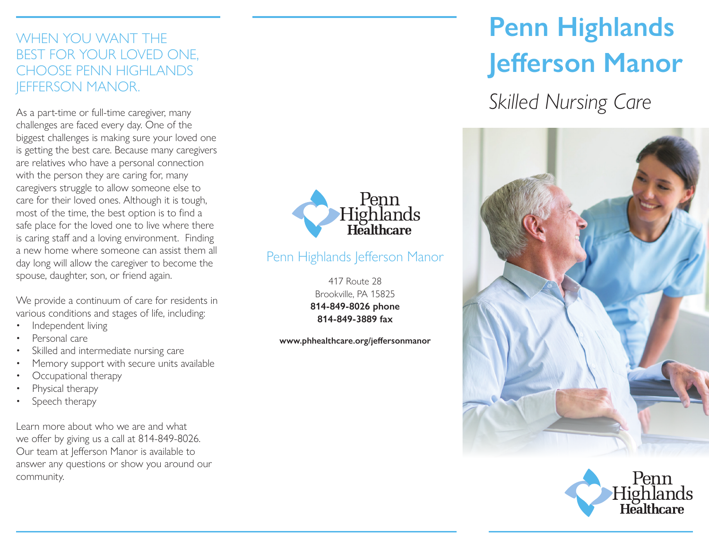## WHEN YOU WANT THE BEST FOR YOUR LOVED ONE, CHOOSE PENN HIGHLANDS JEFFERSON MANOR.

As a part-time or full-time caregiver, many challenges are faced every day. One of the biggest challenges is making sure your loved one is getting the best care. Because many caregivers are relatives who have a personal connection with the person they are caring for, many caregivers struggle to allow someone else to care for their loved ones. Although it is tough, most of the time, the best option is to find a safe place for the loved one to live where there is caring staff and a loving environment. Finding a new home where someone can assist them all day long will allow the caregiver to become the spouse, daughter, son, or friend again.

We provide a continuum of care for residents in various conditions and stages of life, including:

- Independent living
- Personal care
- Skilled and intermediate nursing care
- Memory support with secure units available
- Occupational therapy
- Physical therapy
- Speech therapy

Learn more about who we are and what we offer by giving us a call at 814-849-8026. Our team at Jefferson Manor is available to answer any questions or show you around our community.



## Penn Highlands Jefferson Manor

417 Route 28 Brookville, PA 15825 **814-849-8026 phone 814-849-3889 fax**

**www.phhealthcare.org/jeffersonmanor**

# **Penn Highlands Jefferson Manor**

*Skilled Nursing Care*